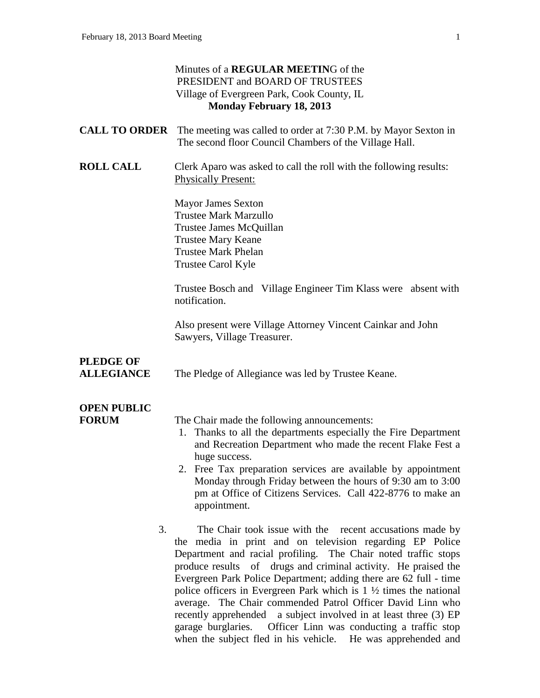|                                       | Minutes of a <b>REGULAR MEETING</b> of the<br>PRESIDENT and BOARD OF TRUSTEES<br>Village of Evergreen Park, Cook County, IL<br><b>Monday February 18, 2013</b>                                                                                                                                                                                                                                                                                                                                                                                                                                                          |
|---------------------------------------|-------------------------------------------------------------------------------------------------------------------------------------------------------------------------------------------------------------------------------------------------------------------------------------------------------------------------------------------------------------------------------------------------------------------------------------------------------------------------------------------------------------------------------------------------------------------------------------------------------------------------|
| <b>CALL TO ORDER</b>                  | The meeting was called to order at 7:30 P.M. by Mayor Sexton in<br>The second floor Council Chambers of the Village Hall.                                                                                                                                                                                                                                                                                                                                                                                                                                                                                               |
| <b>ROLL CALL</b>                      | Clerk Aparo was asked to call the roll with the following results:<br><b>Physically Present:</b>                                                                                                                                                                                                                                                                                                                                                                                                                                                                                                                        |
|                                       | <b>Mayor James Sexton</b><br><b>Trustee Mark Marzullo</b><br>Trustee James McQuillan<br><b>Trustee Mary Keane</b><br><b>Trustee Mark Phelan</b><br>Trustee Carol Kyle                                                                                                                                                                                                                                                                                                                                                                                                                                                   |
|                                       | Trustee Bosch and Village Engineer Tim Klass were absent with<br>notification.                                                                                                                                                                                                                                                                                                                                                                                                                                                                                                                                          |
|                                       | Also present were Village Attorney Vincent Cainkar and John<br>Sawyers, Village Treasurer.                                                                                                                                                                                                                                                                                                                                                                                                                                                                                                                              |
| <b>PLEDGE OF</b><br><b>ALLEGIANCE</b> | The Pledge of Allegiance was led by Trustee Keane.                                                                                                                                                                                                                                                                                                                                                                                                                                                                                                                                                                      |
| <b>OPEN PUBLIC</b><br><b>FORUM</b>    | The Chair made the following announcements:<br>1. Thanks to all the departments especially the Fire Department<br>and Recreation Department who made the recent Flake Fest a<br>huge success.<br>2. Free Tax preparation services are available by appointment<br>Monday through Friday between the hours of 9:30 am to 3:00<br>pm at Office of Citizens Services. Call 422-8776 to make an<br>appointment.                                                                                                                                                                                                             |
| 3.                                    | The Chair took issue with the recent accusations made by<br>the media in print and on television regarding EP Police<br>Department and racial profiling. The Chair noted traffic stops<br>produce results of drugs and criminal activity. He praised the<br>Evergreen Park Police Department; adding there are 62 full - time<br>police officers in Evergreen Park which is $1 \frac{1}{2}$ times the national<br>average. The Chair commended Patrol Officer David Linn who<br>a subject involved in at least three (3) EP<br>recently apprehended<br>Officer Linn was conducting a traffic stop<br>garage burglaries. |

when the subject fled in his vehicle. He was apprehended and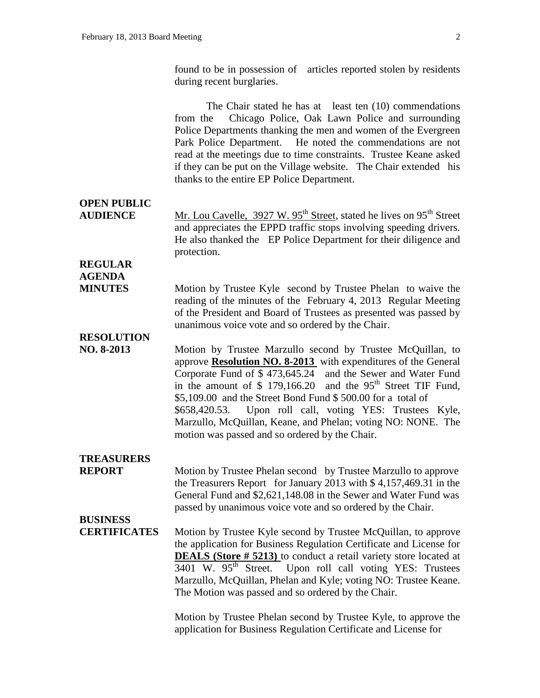found to be in possession of articles reported stolen by residents during recent burglaries.

|                                        | The Chair stated he has at least ten $(10)$ commendations<br>Chicago Police, Oak Lawn Police and surrounding<br>from the<br>Police Departments thanking the men and women of the Evergreen<br>Park Police Department. He noted the commendations are not<br>read at the meetings due to time constraints. Trustee Keane asked<br>if they can be put on the Village website. The Chair extended his<br>thanks to the entire EP Police Department.                                                                  |
|----------------------------------------|-------------------------------------------------------------------------------------------------------------------------------------------------------------------------------------------------------------------------------------------------------------------------------------------------------------------------------------------------------------------------------------------------------------------------------------------------------------------------------------------------------------------|
| <b>OPEN PUBLIC</b><br><b>AUDIENCE</b>  | Mr. Lou Cavelle, 3927 W. 95 <sup>th</sup> Street, stated he lives on 95 <sup>th</sup> Street<br>and appreciates the EPPD traffic stops involving speeding drivers.<br>He also thanked the EP Police Department for their diligence and<br>protection.                                                                                                                                                                                                                                                             |
| <b>REGULAR</b>                         |                                                                                                                                                                                                                                                                                                                                                                                                                                                                                                                   |
| <b>AGENDA</b><br><b>MINUTES</b>        | Motion by Trustee Kyle second by Trustee Phelan to waive the<br>reading of the minutes of the February 4, 2013 Regular Meeting<br>of the President and Board of Trustees as presented was passed by<br>unanimous voice vote and so ordered by the Chair.                                                                                                                                                                                                                                                          |
| <b>RESOLUTION</b><br>NO. 8-2013        | Motion by Trustee Marzullo second by Trustee McQuillan, to<br>approve <b>Resolution NO. 8-2013</b> with expenditures of the General<br>Corporate Fund of \$473,645.24 and the Sewer and Water Fund<br>in the amount of \$ 179,166.20 and the $95th$ Street TIF Fund,<br>\$5,109.00 and the Street Bond Fund \$500.00 for a total of<br>\$658,420.53. Upon roll call, voting YES: Trustees Kyle,<br>Marzullo, McQuillan, Keane, and Phelan; voting NO: NONE. The<br>motion was passed and so ordered by the Chair. |
| <b>TREASURERS</b><br><b>REPORT</b>     | Motion by Trustee Phelan second by Trustee Marzullo to approve<br>the Treasurers Report for January 2013 with $$4,157,469.31$ in the<br>General Fund and \$2,621,148.08 in the Sewer and Water Fund was<br>passed by unanimous voice vote and so ordered by the Chair.                                                                                                                                                                                                                                            |
| <b>BUSINESS</b><br><b>CERTIFICATES</b> | Motion by Trustee Kyle second by Trustee McQuillan, to approve<br>the application for Business Regulation Certificate and License for<br><b>DEALS</b> (Store # 5213) to conduct a retail variety store located at<br>3401 W. 95 <sup>th</sup> Street.<br>Upon roll call voting YES: Trustees<br>Marzullo, McQuillan, Phelan and Kyle; voting NO: Trustee Keane.<br>The Motion was passed and so ordered by the Chair.                                                                                             |
|                                        | Motion by Trustee Phelan second by Trustee Kyle, to approve the<br>application for Business Regulation Certificate and License for                                                                                                                                                                                                                                                                                                                                                                                |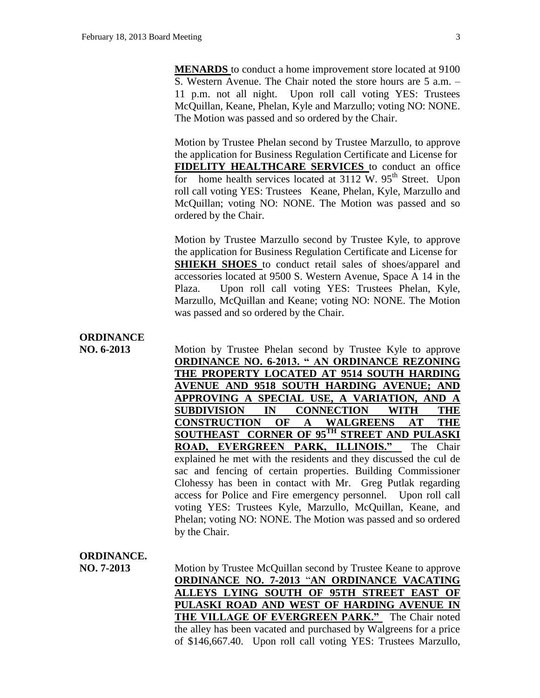**MENARDS** to conduct a home improvement store located at 9100 S. Western Avenue. The Chair noted the store hours are 5 a.m. – 11 p.m. not all night. Upon roll call voting YES: Trustees McQuillan, Keane, Phelan, Kyle and Marzullo; voting NO: NONE. The Motion was passed and so ordered by the Chair.

Motion by Trustee Phelan second by Trustee Marzullo, to approve the application for Business Regulation Certificate and License for **FIDELITY HEALTHCARE SERVICES** to conduct an office for home health services located at  $3112$  W.  $95<sup>th</sup>$  Street. Upon roll call voting YES: Trustees Keane, Phelan, Kyle, Marzullo and McQuillan; voting NO: NONE. The Motion was passed and so ordered by the Chair.

Motion by Trustee Marzullo second by Trustee Kyle, to approve the application for Business Regulation Certificate and License for **SHIEKH SHOES** to conduct retail sales of shoes/apparel and accessories located at 9500 S. Western Avenue, Space A 14 in the Plaza. Upon roll call voting YES: Trustees Phelan, Kyle, Marzullo, McQuillan and Keane; voting NO: NONE. The Motion was passed and so ordered by the Chair.

## **ORDINANCE**

**NO. 6-2013** Motion by Trustee Phelan second by Trustee Kyle to approve **ORDINANCE NO. 6-2013. " AN ORDINANCE REZONING THE PROPERTY LOCATED AT 9514 SOUTH HARDING AVENUE AND 9518 SOUTH HARDING AVENUE; AND APPROVING A SPECIAL USE, A VARIATION, AND A SUBDIVISION IN CONNECTION WITH THE CONSTRUCTION OF A WALGREENS AT THE SOUTHEAST CORNER OF 95TH STREET AND PULASKI ROAD, EVERGREEN PARK, ILLINOIS."** The Chair explained he met with the residents and they discussed the cul de sac and fencing of certain properties. Building Commissioner Clohessy has been in contact with Mr. Greg Putlak regarding access for Police and Fire emergency personnel. Upon roll call voting YES: Trustees Kyle, Marzullo, McQuillan, Keane, and Phelan; voting NO: NONE. The Motion was passed and so ordered by the Chair.

## **ORDINANCE.**

**NO. 7-2013** Motion by Trustee McQuillan second by Trustee Keane to approve **ORDINANCE NO. 7-2013** "**AN ORDINANCE VACATING ALLEYS LYING SOUTH OF 95TH STREET EAST OF PULASKI ROAD AND WEST OF HARDING AVENUE IN THE VILLAGE OF EVERGREEN PARK."** The Chair noted the alley has been vacated and purchased by Walgreens for a price of \$146,667.40. Upon roll call voting YES: Trustees Marzullo,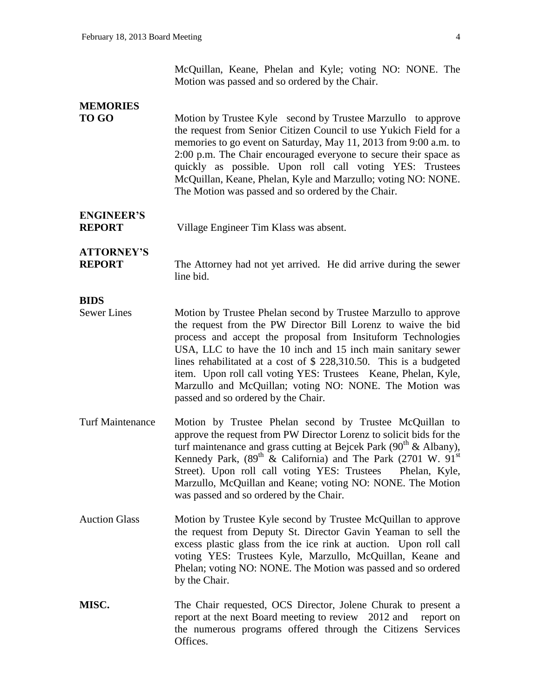McQuillan, Keane, Phelan and Kyle; voting NO: NONE. The Motion was passed and so ordered by the Chair.

| <b>MEMORIES</b>                    |                                                                                                                                                                                                                                                                                                                                                                                                                                                                                                            |
|------------------------------------|------------------------------------------------------------------------------------------------------------------------------------------------------------------------------------------------------------------------------------------------------------------------------------------------------------------------------------------------------------------------------------------------------------------------------------------------------------------------------------------------------------|
| <b>TO GO</b>                       | Motion by Trustee Kyle second by Trustee Marzullo to approve<br>the request from Senior Citizen Council to use Yukich Field for a<br>memories to go event on Saturday, May 11, 2013 from 9:00 a.m. to<br>2:00 p.m. The Chair encouraged everyone to secure their space as<br>quickly as possible. Upon roll call voting YES: Trustees<br>McQuillan, Keane, Phelan, Kyle and Marzullo; voting NO: NONE.<br>The Motion was passed and so ordered by the Chair.                                               |
| <b>ENGINEER'S</b><br><b>REPORT</b> | Village Engineer Tim Klass was absent.                                                                                                                                                                                                                                                                                                                                                                                                                                                                     |
| <b>ATTORNEY'S</b><br><b>REPORT</b> | The Attorney had not yet arrived. He did arrive during the sewer<br>line bid.                                                                                                                                                                                                                                                                                                                                                                                                                              |
| <b>BIDS</b>                        |                                                                                                                                                                                                                                                                                                                                                                                                                                                                                                            |
| <b>Sewer Lines</b>                 | Motion by Trustee Phelan second by Trustee Marzullo to approve<br>the request from the PW Director Bill Lorenz to waive the bid<br>process and accept the proposal from Insituform Technologies<br>USA, LLC to have the 10 inch and 15 inch main sanitary sewer<br>lines rehabilitated at a cost of $$228,310.50$ . This is a budgeted<br>item. Upon roll call voting YES: Trustees Keane, Phelan, Kyle,<br>Marzullo and McQuillan; voting NO: NONE. The Motion was<br>passed and so ordered by the Chair. |
| <b>Turf Maintenance</b>            | Motion by Trustee Phelan second by Trustee McQuillan to<br>approve the request from PW Director Lorenz to solicit bids for the<br>turf maintenance and grass cutting at Bejcek Park $(90^{th} \&$ Albany),<br>Kennedy Park, $(89^{th} \&$ California) and The Park $(2701 \text{ W. } 91^{\text{st}})$<br>Street). Upon roll call voting YES: Trustees<br>Phelan, Kyle,<br>Marzullo, McQuillan and Keane; voting NO: NONE. The Motion<br>was passed and so ordered by the Chair.                           |
| <b>Auction Glass</b>               | Motion by Trustee Kyle second by Trustee McQuillan to approve<br>the request from Deputy St. Director Gavin Yeaman to sell the<br>excess plastic glass from the ice rink at auction. Upon roll call<br>voting YES: Trustees Kyle, Marzullo, McQuillan, Keane and<br>Phelan; voting NO: NONE. The Motion was passed and so ordered<br>by the Chair.                                                                                                                                                         |
| MISC.                              | The Chair requested, OCS Director, Jolene Churak to present a<br>report at the next Board meeting to review 2012 and report on<br>the numerous programs offered through the Citizens Services<br>Offices.                                                                                                                                                                                                                                                                                                  |